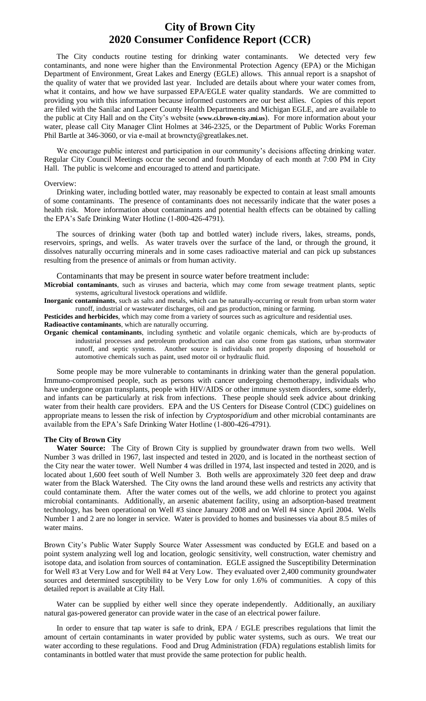## **City of Brown City 2020 Consumer Confidence Report (CCR)**

The City conducts routine testing for drinking water contaminants. We detected very few contaminants, and none were higher than the Environmental Protection Agency (EPA) or the Michigan Department of Environment, Great Lakes and Energy (EGLE) allows. This annual report is a snapshot of the quality of water that we provided last year. Included are details about where your water comes from, what it contains, and how we have surpassed EPA/EGLE water quality standards. We are committed to providing you with this information because informed customers are our best allies. Copies of this report are filed with the Sanilac and Lapeer County Health Departments and Michigan EGLE, and are available to the public at City Hall and on the City's website (**www.ci.brown-city.mi.us**). For more information about your water, please call City Manager Clint Holmes at 346-2325, or the Department of Public Works Foreman Phil Bartle at 346-3060, or via e-mail at browncty@greatlakes.net.

We encourage public interest and participation in our community's decisions affecting drinking water. Regular City Council Meetings occur the second and fourth Monday of each month at 7:00 PM in City Hall. The public is welcome and encouraged to attend and participate.

#### Overview:

Drinking water, including bottled water, may reasonably be expected to contain at least small amounts of some contaminants. The presence of contaminants does not necessarily indicate that the water poses a health risk. More information about contaminants and potential health effects can be obtained by calling the EPA's Safe Drinking Water Hotline (1-800-426-4791).

The sources of drinking water (both tap and bottled water) include rivers, lakes, streams, ponds, reservoirs, springs, and wells. As water travels over the surface of the land, or through the ground, it dissolves naturally occurring minerals and in some cases radioactive material and can pick up substances resulting from the presence of animals or from human activity.

Contaminants that may be present in source water before treatment include:

**Microbial contaminants**, such as viruses and bacteria, which may come from sewage treatment plants, septic systems, agricultural livestock operations and wildlife.

**Inorganic contaminants**, such as salts and metals, which can be naturally-occurring or result from urban storm water runoff, industrial or wastewater discharges, oil and gas production, mining or farming.

**Pesticides and herbicides**, which may come from a variety of sources such as agriculture and residential uses.

**Radioactive contaminants**, which are naturally occurring.

**Organic chemical contaminants**, including synthetic and volatile organic chemicals, which are by-products of industrial processes and petroleum production and can also come from gas stations, urban stormwater runoff, and septic systems. Another source is individuals not properly disposing of household or automotive chemicals such as paint, used motor oil or hydraulic fluid.

Some people may be more vulnerable to contaminants in drinking water than the general population. Immuno-compromised people, such as persons with cancer undergoing chemotherapy, individuals who have undergone organ transplants, people with HIV/AIDS or other immune system disorders, some elderly, and infants can be particularly at risk from infections. These people should seek advice about drinking water from their health care providers. EPA and the US Centers for Disease Control (CDC) guidelines on appropriate means to lessen the risk of infection by *Cryptosporidium* and other microbial contaminants are available from the EPA's Safe Drinking Water Hotline (1-800-426-4791).

### **The City of Brown City**

**Water Source:** The City of Brown City is supplied by groundwater drawn from two wells. Well Number 3 was drilled in 1967, last inspected and tested in 2020, and is located in the northeast section of the City near the water tower. Well Number 4 was drilled in 1974, last inspected and tested in 2020, and is located about 1,600 feet south of Well Number 3. Both wells are approximately 320 feet deep and draw water from the Black Watershed. The City owns the land around these wells and restricts any activity that could contaminate them. After the water comes out of the wells, we add chlorine to protect you against microbial contaminants. Additionally, an arsenic abatement facility, using an adsorption-based treatment technology, has been operational on Well #3 since January 2008 and on Well #4 since April 2004. Wells Number 1 and 2 are no longer in service. Water is provided to homes and businesses via about 8.5 miles of water mains.

Brown City's Public Water Supply Source Water Assessment was conducted by EGLE and based on a point system analyzing well log and location, geologic sensitivity, well construction, water chemistry and isotope data, and isolation from sources of contamination. EGLE assigned the Susceptibility Determination for Well #3 at Very Low and for Well #4 at Very Low. They evaluated over 2,400 community groundwater sources and determined susceptibility to be Very Low for only 1.6% of communities. A copy of this detailed report is available at City Hall.

Water can be supplied by either well since they operate independently. Additionally, an auxiliary natural gas-powered generator can provide water in the case of an electrical power failure.

In order to ensure that tap water is safe to drink, EPA / EGLE prescribes regulations that limit the amount of certain contaminants in water provided by public water systems, such as ours. We treat our water according to these regulations. Food and Drug Administration (FDA) regulations establish limits for contaminants in bottled water that must provide the same protection for public health.